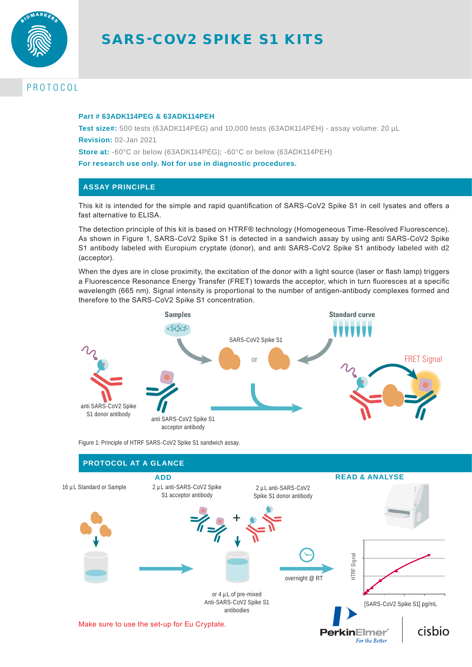

# SARS-COV2 SPIKE S1 KITS

# PROTOCOL

#### **Part # 63ADK114PEG & 63ADK114PEH**

**Test size#:** 500 tests (63ADK114PEG) and 10,000 tests (63ADK114PEH) - assay volume: 20 µL **Revision:** 02-Jan 2021

**Store at:** -60°C or below (63ADK114PEG); -60°C or below (63ADK114PEH)

**For research use only. Not for use in diagnostic procedures.**

## **ASSAY PRINCIPLE**

This kit is intended for the simple and rapid quantification of SARS-CoV2 Spike S1 in cell lysates and offers a fast alternative to ELISA.

The detection principle of this kit is based on HTRF® technology (Homogeneous Time-Resolved Fluorescence). As shown in Figure 1, SARS-CoV2 Spike S1 is detected in a sandwich assay by using anti SARS-CoV2 Spike S1 antibody labeled with Europium cryptate (donor), and anti SARS-CoV2 Spike S1 antibody labeled with d2 (acceptor).

When the dyes are in close proximity, the excitation of the donor with a light source (laser or flash lamp) triggers a Fluorescence Resonance Energy Transfer (FRET) towards the acceptor, which in turn fluoresces at a specific wavelength (665 nm). Signal intensity is proportional to the number of antigen-antibody complexes formed and therefore to the SARS-CoV2 Spike S1 concentration.



Figure 1: Principle of HTRF SARS-CoV2 Spike S1 sandwich assay.

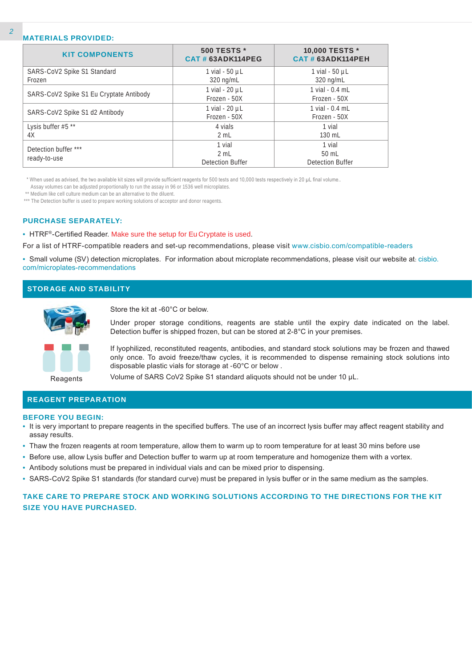#### **MATERIALS PROVIDED:**

| <b>KIT COMPONENTS</b>                   | 500 TESTS *<br>CAT#63ADK114PEG            | 10,000 TESTS *<br><b>CAT # 63ADK114PEH</b>  |
|-----------------------------------------|-------------------------------------------|---------------------------------------------|
| SARS-CoV2 Spike S1 Standard<br>Frozen   | 1 vial - $50 \mu L$<br>320 ng/mL          | 1 vial $-50$ $\mu$ L<br>$320 \text{ ng/mL}$ |
| SARS-CoV2 Spike S1 Eu Cryptate Antibody | 1 vial - 20 µL<br>Frozen - 50X            | 1 vial - 0.4 mL<br>Frozen - 50X             |
| SARS-CoV2 Spike S1 d2 Antibody          | 1 vial - 20 µL<br>Frozen - 50X            | 1 vial - 0.4 mL<br>Frozen - 50X             |
| Lysis buffer #5 **<br>4X                | 4 vials<br>2 mL                           | 1 vial<br>130 mL                            |
| Detection buffer ***<br>ready-to-use    | 1 vial<br>2 mL<br><b>Detection Buffer</b> | 1 vial<br>$50$ mL<br>Detection Buffer       |

\* When used as advised, the two available kit sizes will provide sufficient reagents for 500 tests and 10,000 tests respectively in 20 µL final volume..

Assay volumes can be adjusted proportionally to run the assay in 96 or 1536 well microplates.

\*\* Medium like cell culture medium can be an alternative to the diluent.

\*\*\* The Detection buffer is used to prepare working solutions of acceptor and donor reagents.

#### **PURCHASE SEPARATELY:**

• HTRF®-Certified Reader. Make sure the setup for Eu Cryptate is used.

For a list of HTRF-compatible readers and set-up recommendations, please visit www.cisbio.com/compatible-readers

• Small volume (SV) detection microplates. For information about microplate recommendations, please visit our website at: cisbio. com/microplates-recommendations

#### **STORAGE AND STABILITY**



Store the kit at -60°C or below.

Under proper storage conditions, reagents are stable until the expiry date indicated on the label. Detection buffer is shipped frozen, but can be stored at 2-8°C in your premises.

If lyophilized, reconstituted reagents, antibodies, and standard stock solutions may be frozen and thawed only once. To avoid freeze/thaw cycles, it is recommended to dispense remaining stock solutions into disposable plastic vials for storage at -60°C or below .

Reagents

Volume of SARS CoV2 Spike S1 standard aliquots should not be under 10 µL.

#### **REAGENT PREPARATION**

#### **BEFORE YOU BEGIN:**

- It is very important to prepare reagents in the specified buffers. The use of an incorrect lysis buffer may affect reagent stability and assay results.
- Thaw the frozen reagents at room temperature, allow them to warm up to room temperature for at least 30 mins before use
- Before use, allow Lysis buffer and Detection buffer to warm up at room temperature and homogenize them with a vortex.
- Antibody solutions must be prepared in individual vials and can be mixed prior to dispensing.
- SARS-CoV2 Spike S1 standards (for standard curve) must be prepared in lysis buffer or in the same medium as the samples.

## **TAKE CARE TO PREPARE STOCK AND WORKING SOLUTIONS ACCORDING TO THE DIRECTIONS FOR THE KIT SIZE YOU HAVE PURCHASED.**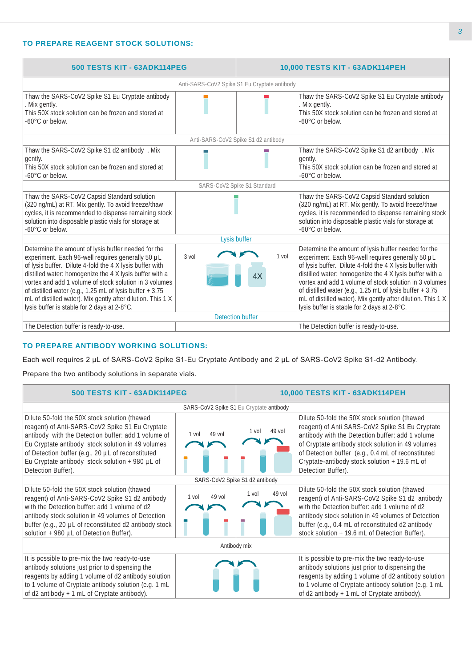# **TO PREPARE REAGENT STOCK SOLUTIONS:**

| 500 TESTS KIT - 63ADK114PEG                                                                                                                                                                                                                                                                                                                                                                                                                                         |                                              | 10,000 TESTS KIT - 63ADK114PEH |                                                                                                                                                                                                                                                                                                                                                                                                                                                                     |
|---------------------------------------------------------------------------------------------------------------------------------------------------------------------------------------------------------------------------------------------------------------------------------------------------------------------------------------------------------------------------------------------------------------------------------------------------------------------|----------------------------------------------|--------------------------------|---------------------------------------------------------------------------------------------------------------------------------------------------------------------------------------------------------------------------------------------------------------------------------------------------------------------------------------------------------------------------------------------------------------------------------------------------------------------|
|                                                                                                                                                                                                                                                                                                                                                                                                                                                                     | Anti-SARS-CoV2 Spike S1 Eu Cryptate antibody |                                |                                                                                                                                                                                                                                                                                                                                                                                                                                                                     |
| Thaw the SARS-CoV2 Spike S1 Eu Cryptate antibody<br>Mix gently.<br>This 50X stock solution can be frozen and stored at<br>-60°C or below.                                                                                                                                                                                                                                                                                                                           |                                              |                                | Thaw the SARS-CoV2 Spike S1 Eu Cryptate antibody<br>. Mix gently.<br>This 50X stock solution can be frozen and stored at<br>$-60^{\circ}$ C or below.                                                                                                                                                                                                                                                                                                               |
|                                                                                                                                                                                                                                                                                                                                                                                                                                                                     | Anti-SARS-CoV2 Spike S1 d2 antibody          |                                |                                                                                                                                                                                                                                                                                                                                                                                                                                                                     |
| Thaw the SARS-CoV2 Spike S1 d2 antibody . Mix<br>gently.<br>This 50X stock solution can be frozen and stored at<br>$-60^{\circ}$ C or below.                                                                                                                                                                                                                                                                                                                        |                                              |                                | Thaw the SARS-CoV2 Spike S1 d2 antibody . Mix<br>gently.<br>This 50X stock solution can be frozen and stored at<br>$-60^{\circ}$ C or below.                                                                                                                                                                                                                                                                                                                        |
|                                                                                                                                                                                                                                                                                                                                                                                                                                                                     | SARS-CoV2 Spike S1 Standard                  |                                |                                                                                                                                                                                                                                                                                                                                                                                                                                                                     |
| Thaw the SARS-CoV2 Capsid Standard solution<br>(320 ng/mL) at RT. Mix gently. To avoid freeze/thaw<br>cycles, it is recommended to dispense remaining stock<br>solution into disposable plastic vials for storage at<br>$-60^{\circ}$ C or below.                                                                                                                                                                                                                   |                                              |                                | Thaw the SARS-CoV2 Capsid Standard solution<br>(320 ng/mL) at RT. Mix gently. To avoid freeze/thaw<br>cycles, it is recommended to dispense remaining stock<br>solution into disposable plastic vials for storage at<br>$-60^{\circ}$ C or below.                                                                                                                                                                                                                   |
|                                                                                                                                                                                                                                                                                                                                                                                                                                                                     | Lysis buffer                                 |                                |                                                                                                                                                                                                                                                                                                                                                                                                                                                                     |
| Determine the amount of lysis buffer needed for the<br>experiment. Each 96-well requires generally 50 µL<br>of lysis buffer. Dilute 4-fold the 4 X lysis buffer with<br>distilled water: homogenize the 4 X lysis buffer with a<br>vortex and add 1 volume of stock solution in 3 volumes<br>of distilled water (e.g., 1.25 mL of lysis buffer + 3.75<br>mL of distilled water). Mix gently after dilution. This 1 X<br>lysis buffer is stable for 2 days at 2-8°C. | 3 vol                                        | 1 vol<br>4X                    | Determine the amount of lysis buffer needed for the<br>experiment. Each 96-well requires generally 50 µL<br>of lysis buffer. Dilute 4-fold the 4 X lysis buffer with<br>distilled water: homogenize the 4 X lysis buffer with a<br>vortex and add 1 volume of stock solution in 3 volumes<br>of distilled water (e.g., 1.25 mL of lysis buffer + 3.75<br>mL of distilled water). Mix gently after dilution. This 1 X<br>lysis buffer is stable for 2 days at 2-8°C. |
|                                                                                                                                                                                                                                                                                                                                                                                                                                                                     | <b>Detection buffer</b>                      |                                |                                                                                                                                                                                                                                                                                                                                                                                                                                                                     |
| The Detection buffer is ready-to-use.                                                                                                                                                                                                                                                                                                                                                                                                                               |                                              |                                | The Detection buffer is ready-to-use.                                                                                                                                                                                                                                                                                                                                                                                                                               |

## **TO PREPARE ANTIBODY WORKING SOLUTIONS:**

Each well requires 2 µL of SARS-CoV2 Spike S1-Eu Cryptate Antibody and 2 µL of SARS-CoV2 Spike S1-d2 Antibody.

Prepare the two antibody solutions in separate vials.

| 500 TESTS KIT - 63ADK114PEG                                                                                                                                                                                                                                                                                                                |                   | 10,000 TESTS KIT - 63ADK114PEH          |                                                                                                                                                                                                                                                                                                                                        |  |
|--------------------------------------------------------------------------------------------------------------------------------------------------------------------------------------------------------------------------------------------------------------------------------------------------------------------------------------------|-------------------|-----------------------------------------|----------------------------------------------------------------------------------------------------------------------------------------------------------------------------------------------------------------------------------------------------------------------------------------------------------------------------------------|--|
|                                                                                                                                                                                                                                                                                                                                            |                   | SARS-CoV2 Spike S1 Eu Cryptate antibody |                                                                                                                                                                                                                                                                                                                                        |  |
| Dilute 50-fold the 50X stock solution (thawed<br>reagent) of Anti-SARS-CoV2 Spike S1 Eu Cryptate<br>antibody with the Detection buffer: add 1 volume of<br>Eu Cryptate antibody stock solution in 49 volumes<br>of Detection buffer (e.g., 20 µL of reconstituted<br>Eu Cryptate antibody stock solution + 980 µL of<br>Detection Buffer). | $49$ vol<br>1 vol | 49 vol<br>1 vol                         | Dilute 50-fold the 50X stock solution (thawed<br>reagent) of Anti SARS-CoV2 Spike S1 Eu Cryptate<br>antibody with the Detection buffer: add 1 volume<br>of Cryptate antibody stock solution in 49 volumes<br>of Detection buffer (e.g., 0.4 mL of reconstituted<br>Cryptate-antibody stock solution + 19.6 mL of<br>Detection Buffer). |  |
| SARS-CoV2 Spike S1 d2 antibody                                                                                                                                                                                                                                                                                                             |                   |                                         |                                                                                                                                                                                                                                                                                                                                        |  |
| Dilute 50-fold the 50X stock solution (thawed<br>reagent) of Anti-SARS-CoV2 Spike S1 d2 antibody<br>with the Detection buffer: add 1 volume of d2<br>antibody stock solution in 49 volumes of Detection<br>buffer (e.g., 20 µL of reconstituted d2 antibody stock<br>solution + 980 µL of Detection Buffer).                               | 49 vol<br>1 vol   | $49$ vol<br>1 vol                       | Dilute 50-fold the 50X stock solution (thawed<br>reagent) of Anti-SARS-CoV2 Spike S1 d2 antibody<br>with the Detection buffer: add 1 volume of d2<br>antibody stock solution in 49 volumes of Detection<br>buffer (e.g., 0.4 mL of reconstituted d2 antibody<br>stock solution + 19.6 mL of Detection Buffer).                         |  |
| Antibody mix                                                                                                                                                                                                                                                                                                                               |                   |                                         |                                                                                                                                                                                                                                                                                                                                        |  |
| It is possible to pre-mix the two ready-to-use<br>antibody solutions just prior to dispensing the<br>reagents by adding 1 volume of d2 antibody solution<br>to 1 volume of Cryptate antibody solution (e.g. 1 mL<br>of d2 antibody + 1 mL of Cryptate antibody).                                                                           |                   |                                         | It is possible to pre-mix the two ready-to-use<br>antibody solutions just prior to dispensing the<br>reagents by adding 1 volume of d2 antibody solution<br>to 1 volume of Cryptate antibody solution (e.g. 1 mL<br>of d2 antibody + 1 mL of Cryptate antibody).                                                                       |  |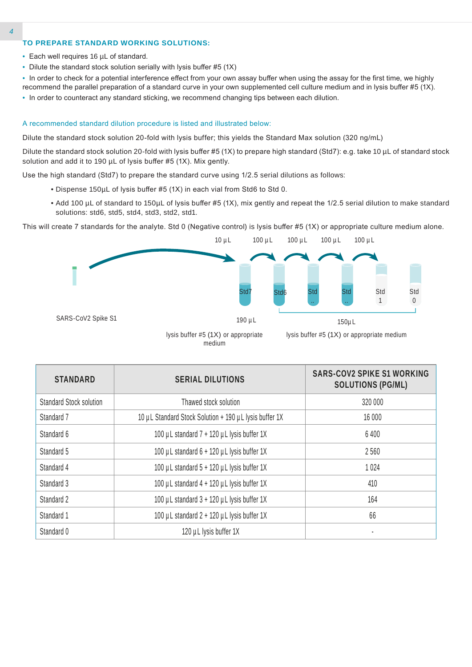#### **TO PREPARE STANDARD WORKING SOLUTIONS:**

- Each well requires 16 µL of standard.
- Dilute the standard stock solution serially with lysis buffer #5 (1X)
- In order to check for a potential interference effect from your own assay buffer when using the assay for the first time, we highly recommend the parallel preparation of a standard curve in your own supplemented cell culture medium and in lysis buffer #5 (1X).
- In order to counteract any standard sticking, we recommend changing tips between each dilution.

#### A recommended standard dilution procedure is listed and illustrated below:

Dilute the standard stock solution 20-fold with lysis buffer; this yields the Standard Max solution (320 ng/mL)

Dilute the standard stock solution 20-fold with lysis buffer #5 (1X) to prepare high standard (Std7): e.g. take 10 µL of standard stock solution and add it to 190 µL of lysis buffer #5 (1X). Mix gently.

Use the high standard (Std7) to prepare the standard curve using 1/2.5 serial dilutions as follows:

- Dispense 150µL of lysis buffer #5 (1X) in each vial from Std6 to Std 0.
- Add 100 µL of standard to 150µL of lysis buffer #5 (1X), mix gently and repeat the 1/2.5 serial dilution to make standard solutions: std6, std5, std4, std3, std2, std1.

This will create 7 standards for the analyte. Std 0 (Negative control) is lysis buffer #5 (1X) or appropriate culture medium alone.



medium

| <b>STANDARD</b>                | <b>SERIAL DILUTIONS</b>                                | <b>SARS-COV2 SPIKE S1 WORKING</b><br><b>SOLUTIONS (PG/ML)</b> |
|--------------------------------|--------------------------------------------------------|---------------------------------------------------------------|
| <b>Standard Stock solution</b> | Thawed stock solution                                  | 320 000                                                       |
| Standard 7                     | 10 µL Standard Stock Solution + 190 µL lysis buffer 1X | 16 000                                                        |
| Standard 6                     | 100 µL standard 7 + 120 µL lysis buffer 1X             | 6400                                                          |
| Standard 5                     | 100 µL standard 6 + 120 µL lysis buffer 1X             | 2560                                                          |
| Standard 4                     | 100 µL standard 5 + 120 µL lysis buffer 1X             | 1 0 2 4                                                       |
| Standard 3                     | 100 µL standard 4 + 120 µL lysis buffer 1X             | 410                                                           |
| Standard 2                     | 100 µL standard 3 + 120 µL lysis buffer 1X             | 164                                                           |
| Standard 1                     | 100 µL standard 2 + 120 µL lysis buffer 1X             | 66                                                            |
| Standard 0                     | 120 µL lysis buffer 1X                                 |                                                               |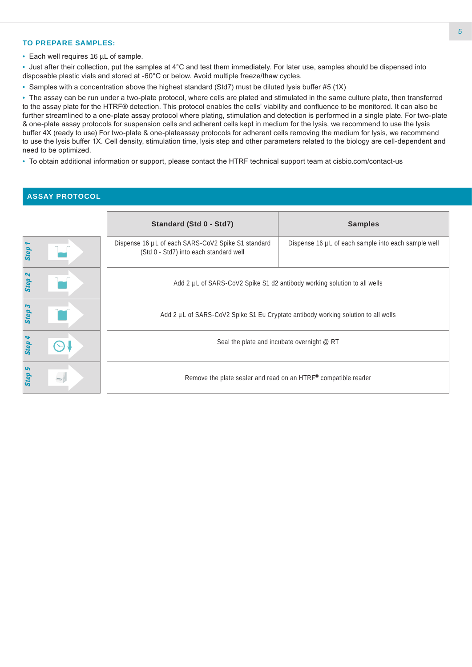#### **TO PREPARE SAMPLES:**

• Each well requires 16 µL of sample.

• Just after their collection, put the samples at 4°C and test them immediately. For later use, samples should be dispensed into disposable plastic vials and stored at -60°C or below. Avoid multiple freeze/thaw cycles.

• Samples with a concentration above the highest standard (Std7) must be diluted lysis buffer #5 (1X)

• The assay can be run under a two-plate protocol, where cells are plated and stimulated in the same culture plate, then transferred to the assay plate for the HTRF® detection. This protocol enables the cells' viability and confluence to be monitored. It can also be further streamlined to a one-plate assay protocol where plating, stimulation and detection is performed in a single plate. For two-plate & one-plate assay protocols for suspension cells and adherent cells kept in medium for the lysis, we recommend to use the lysis buffer 4X (ready to use) For two-plate & one-plateassay protocols for adherent cells removing the medium for lysis, we recommend to use the lysis buffer 1X. Cell density, stimulation time, lysis step and other parameters related to the biology are cell-dependent and need to be optimized.

• To obtain additional information or support, please contact the HTRF technical support team at cisbio.com/contact-us

#### **ASSAY PROTOCOL**

|           | Standard (Std 0 - Std7)                                                                      | <b>Samples</b>                                      |  |  |
|-----------|----------------------------------------------------------------------------------------------|-----------------------------------------------------|--|--|
| Step      | Dispense 16 µL of each SARS-CoV2 Spike S1 standard<br>(Std 0 - Std7) into each standard well | Dispense 16 µL of each sample into each sample well |  |  |
| Step      | Add 2 µL of SARS-CoV2 Spike S1 d2 antibody working solution to all wells                     |                                                     |  |  |
| Step 3    | Add 2 µL of SARS-CoV2 Spike S1 Eu Cryptate antibody working solution to all wells            |                                                     |  |  |
| Step      | Seal the plate and incubate overnight @ RT                                                   |                                                     |  |  |
| 5<br>Step | Remove the plate sealer and read on an HTRF® compatible reader                               |                                                     |  |  |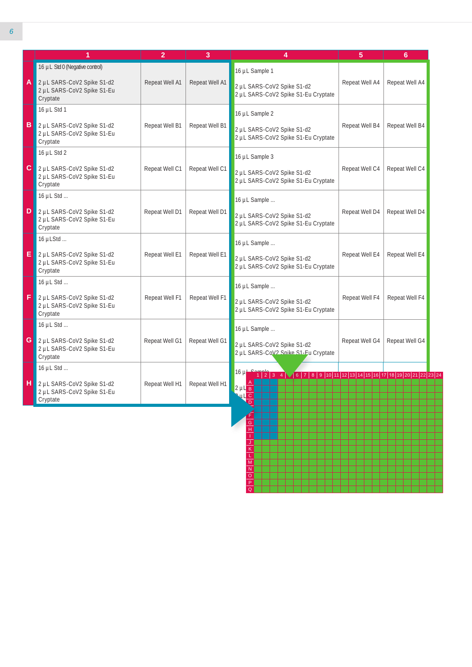|              | 1                                                                                                      | $\overline{2}$ | 3              | 4                                                                                   | 5              | 6              |
|--------------|--------------------------------------------------------------------------------------------------------|----------------|----------------|-------------------------------------------------------------------------------------|----------------|----------------|
| $\mathsf{A}$ | 16 µL Std 0 (Negative control)<br>2 µL SARS-CoV2 Spike S1-d2<br>2 µL SARS-CoV2 Spike S1-Eu<br>Cryptate | Repeat Well A1 | Repeat Well A1 | 16 µL Sample 1<br>2 µL SARS-CoV2 Spike S1-d2<br>2 µL SARS-CoV2 Spike S1-Eu Cryptate | Repeat Well A4 | Repeat Well A4 |
| B            | 16 µL Std 1<br>2 µL SARS-CoV2 Spike S1-d2<br>2 µL SARS-CoV2 Spike S1-Eu<br>Cryptate                    | Repeat Well B1 | Repeat Well B1 | 16 µL Sample 2<br>2 µL SARS-CoV2 Spike S1-d2<br>2 µL SARS-CoV2 Spike S1-Eu Cryptate | Repeat Well B4 | Repeat Well B4 |
|              | 16 µL Std 2<br>C 2 µL SARS-CoV2 Spike S1-d2<br>2 µL SARS-CoV2 Spike S1-Eu<br>Cryptate                  | Repeat Well C1 | Repeat Well C1 | 16 µL Sample 3<br>2 µL SARS-CoV2 Spike S1-d2<br>2 µL SARS-CoV2 Spike S1-Eu Cryptate | Repeat Well C4 | Repeat Well C4 |
| D            | 16 µL Std<br>2 µL SARS-CoV2 Spike S1-d2<br>2 µL SARS-CoV2 Spike S1-Eu<br>Cryptate                      | Repeat Well D1 | Repeat Well D1 | 16 µL Sample<br>2 µL SARS-CoV2 Spike S1-d2<br>2 µL SARS-CoV2 Spike S1-Eu Cryptate   | Repeat Well D4 | Repeat Well D4 |
| EI           | 16 µLStd<br>2 µL SARS-CoV2 Spike S1-d2<br>2 µL SARS-CoV2 Spike S1-Eu<br>Cryptate                       | Repeat Well E1 | Repeat Well E1 | 16 µL Sample<br>2 µL SARS-CoV2 Spike S1-d2<br>2 µL SARS-CoV2 Spike S1-Eu Cryptate   | Repeat Well E4 | Repeat Well E4 |
| F            | 16 µL Std<br>2 µL SARS-CoV2 Spike S1-d2<br>2 µL SARS-CoV2 Spike S1-Eu<br>Cryptate                      | Repeat Well F1 | Repeat Well F1 | 16 µL Sample<br>2 µL SARS-CoV2 Spike S1-d2<br>2 µL SARS-CoV2 Spike S1-Eu Cryptate   | Repeat Well F4 | Repeat Well F4 |
|              | 16 µL Std<br>G 2 µL SARS-CoV2 Spike S1-d2<br>2 µL SARS-CoV2 Spike S1-Eu<br>Cryptate                    | Repeat Well G1 | Repeat Well G1 | 16 µL Sample<br>2 µL SARS-CoV2 Spike S1-d2<br>2 µL SARS-CoV2 Snike S1-Eu Cryptate   | Repeat Well G4 | Repeat Well G4 |
|              | 16 µL Std<br>1 2 µL SARS-CoV2 Spike S1-d2<br>2 µL SARS-CoV2 Spike S1-Eu<br>Cryptate                    | Repeat Well H1 | Repeat Well H1 | $16 \mu$<br>$2 \mu L$ <sub>B</sub><br>$ul$ $\overline{c}$<br>$\overline{D}$         |                |                |

J K L M N O P  $\overline{\Omega}$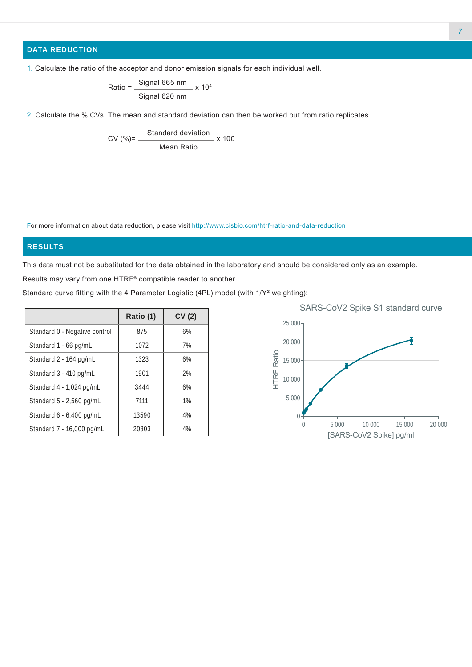# **DATA REDUCTION**

1. Calculate the ratio of the acceptor and donor emission signals for each individual well.

Ratio = 
$$
\frac{\text{Signal 665 nm}}{\text{Signal 620 nm}} \times 10^4
$$

2. Calculate the % CVs. The mean and standard deviation can then be worked out from ratio replicates.

$$
CV (%) = \frac{Standard deviation}{Mean Ratio} \times 100
$$

For more information about data reduction, please visit http://www.cisbio.com/htrf-ratio-and-data-reduction

#### **RESULTS**

This data must not be substituted for the data obtained in the laboratory and should be considered only as an example.

Results may vary from one HTRF® compatible reader to another.

Standard curve fitting with the 4 Parameter Logistic (4PL) model (with 1/Y² weighting):

|                               | Ratio (1) | CV(2) |
|-------------------------------|-----------|-------|
| Standard 0 - Negative control | 875       | 6%    |
| Standard 1 - 66 pg/mL         | 1072      | 7%    |
| Standard 2 - 164 pg/mL        | 1323      | 6%    |
| Standard 3 - 410 pg/mL        | 1901      | 2%    |
| Standard 4 - 1,024 pg/mL      | 3444      | 6%    |
| Standard 5 - 2,560 pg/mL      | 7111      | $1\%$ |
| Standard 6 - 6,400 pg/mL      | 13590     | 4%    |
| Standard 7 - 16,000 pg/mL     | 20303     | 4%    |